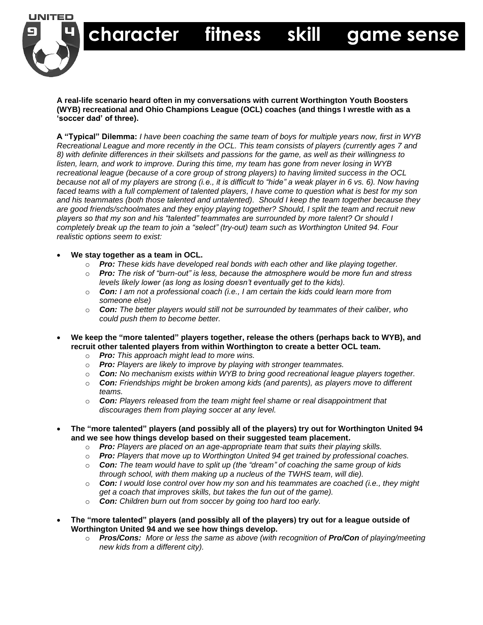

**A real-life scenario heard often in my conversations with current Worthington Youth Boosters (WYB) recreational and Ohio Champions League (OCL) coaches (and things I wrestle with as a 'soccer dad' of three).** 

 **character fitness skill game sense**

**A "Typical" Dilemma:** *I have been coaching the same team of boys for multiple years now, first in WYB Recreational League and more recently in the OCL. This team consists of players (currently ages 7 and 8) with definite differences in their skillsets and passions for the game, as well as their willingness to listen, learn, and work to improve. During this time, my team has gone from never losing in WYB recreational league (because of a core group of strong players) to having limited success in the OCL because not all of my players are strong (i.e., it is difficult to "hide" a weak player in 6 vs. 6). Now having faced teams with a full complement of talented players, I have come to question what is best for my son and his teammates (both those talented and untalented). Should I keep the team together because they are good friends/schoolmates and they enjoy playing together? Should, I split the team and recruit new players so that my son and his "talented" teammates are surrounded by more talent? Or should I completely break up the team to join a "select" (try-out) team such as Worthington United 94. Four realistic options seem to exist:* 

## **We stay together as a team in OCL.**

- o *Pro: These kids have developed real bonds with each other and like playing together.*
- o *Pro: The risk of "burn-out" is less, because the atmosphere would be more fun and stress levels likely lower (as long as losing doesn't eventually get to the kids).*
- o *Con: I am not a professional coach (i.e., I am certain the kids could learn more from someone else)*
- o *Con: The better players would still not be surrounded by teammates of their caliber, who could push them to become better.*
- **We keep the "more talented" players together, release the others (perhaps back to WYB), and recruit other talented players from within Worthington to create a better OCL team.** 
	- o *Pro: This approach might lead to more wins.*
	- o *Pro: Players are likely to improve by playing with stronger teammates.*
	- o *Con: No mechanism exists within WYB to bring good recreational league players together.*
	- o *Con: Friendships might be broken among kids (and parents), as players move to different teams.*
	- o *Con: Players released from the team might feel shame or real disappointment that discourages them from playing soccer at any level.*
- **The "more talented" players (and possibly all of the players) try out for Worthington United 94 and we see how things develop based on their suggested team placement.** 
	- o *Pro: Players are placed on an age-appropriate team that suits their playing skills.*
	- o *Pro: Players that move up to Worthington United 94 get trained by professional coaches.*
	- o *Con: The team would have to split up (the "dream" of coaching the same group of kids through school, with them making up a nucleus of the TWHS team, will die).*
	- o *Con: I would lose control over how my son and his teammates are coached (i.e., they might get a coach that improves skills, but takes the fun out of the game).*
	- o *Con: Children burn out from soccer by going too hard too early.*
- **The "more talented" players (and possibly all of the players) try out for a league outside of Worthington United 94 and we see how things develop.** 
	- o *Pros/Cons: More or less the same as above (with recognition of Pro/Con of playing/meeting new kids from a different city).*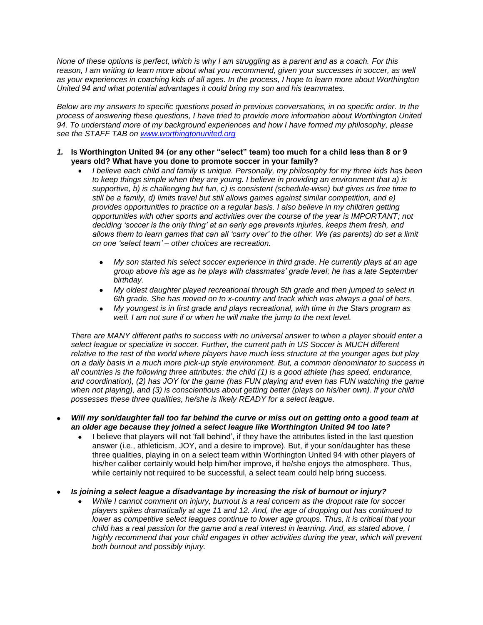*None of these options is perfect, which is why I am struggling as a parent and as a coach. For this reason, I am writing to learn more about what you recommend, given your successes in soccer, as well as your experiences in coaching kids of all ages. In the process, I hope to learn more about Worthington United 94 and what potential advantages it could bring my son and his teammates.*

*Below are my answers to specific questions posed in previous conversations, in no specific order. In the process of answering these questions, I have tried to provide more information about Worthington United 94. To understand more of my background experiences and how I have formed my philosophy, please see the STAFF TAB on [www.worthingtonunited.org](http://www.worthingtonunited.org/)*

- *1.* **Is Worthington United 94 (or any other "select" team) too much for a child less than 8 or 9 years old? What have you done to promote soccer in your family?**
	- *I believe each child and family is unique. Personally, my philosophy for my three kids has been to keep things simple when they are young. I believe in providing an environment that a) is supportive, b) is challenging but fun, c) is consistent (schedule-wise) but gives us free time to still be a family, d) limits travel but still allows games against similar competition, and e) provides opportunities to practice on a regular basis. I also believe in my children getting opportunities with other sports and activities over the course of the year is IMPORTANT; not deciding 'soccer is the only thing' at an early age prevents injuries, keeps them fresh, and allows them to learn games that can all 'carry over' to the other. We (as parents) do set a limit on one 'select team' – other choices are recreation.* 
		- *My son started his select soccer experience in third grade. He currently plays at an age group above his age as he plays with classmates' grade level; he has a late September birthday.*
		- *My oldest daughter played recreational through 5th grade and then jumped to select in 6th grade. She has moved on to x-country and track which was always a goal of hers.*
		- *My youngest is in first grade and plays recreational, with time in the Stars program as well. I am not sure if or when he will make the jump to the next level.*

*There are MANY different paths to success with no universal answer to when a player should enter a select league or specialize in soccer. Further, the current path in US Soccer is MUCH different relative to the rest of the world where players have much less structure at the younger ages but play on a daily basis in a much more pick-up style environment. But, a common denominator to success in all countries is the following three attributes: the child (1) is a good athlete (has speed, endurance, and coordination), (2) has JOY for the game (has FUN playing and even has FUN watching the game*  when not playing), and (3) is conscientious about getting better (plays on his/her own). If your child *possesses these three qualities, he/she is likely READY for a select league.*

- *Will my son/daughter fall too far behind the curve or miss out on getting onto a good team at an older age because they joined a select league like Worthington United 94 too late?* 
	- I believe that players will not 'fall behind', if they have the attributes listed in the last question answer (i.e., athleticism, JOY, and a desire to improve). But, if your son/daughter has these three qualities, playing in on a select team within Worthington United 94 with other players of his/her caliber certainly would help him/her improve, if he/she enjoys the atmosphere. Thus, while certainly not required to be successful, a select team could help bring success.
- *Is joining a select league a disadvantage by increasing the risk of burnout or injury?*
	- *While I cannot comment on injury, burnout is a real concern as the dropout rate for soccer players spikes dramatically at age 11 and 12. And, the age of dropping out has continued to lower as competitive select leagues continue to lower age groups. Thus, it is critical that your child has a real passion for the game and a real interest in learning. And, as stated above, I*  highly recommend that your child engages in other activities during the year, which will prevent *both burnout and possibly injury.*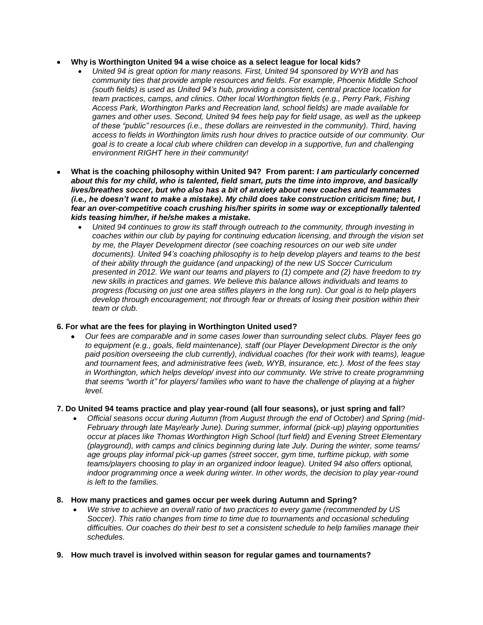- **Why is Worthington United 94 a wise choice as a select league for local kids?**
	- *United 94 is great option for many reasons. First, United 94 sponsored by WYB and has community ties that provide ample resources and fields. For example, Phoenix Middle School (south fields) is used as United 94's hub, providing a consistent, central practice location for team practices, camps, and clinics. Other local Worthington fields (e.g., Perry Park, Fishing Access Park, Worthington Parks and Recreation land, school fields) are made available for games and other uses. Second, United 94 fees help pay for field usage, as well as the upkeep of these "public" resources (i.e., these dollars are reinvested in the community). Third, having access to fields in Worthington limits rush hour drives to practice outside of our community. Our goal is to create a local club where children can develop in a supportive, fun and challenging environment RIGHT here in their community!*
- **What is the coaching philosophy within United 94? From parent:** *I am particularly concerned about this for my child, who is talented, field smart, puts the time into improve, and basically lives/breathes soccer, but who also has a bit of anxiety about new coaches and teammates (i.e., he doesn't want to make a mistake). My child does take construction criticism fine; but, I fear an over-competitive coach crushing his/her spirits in some way or exceptionally talented kids teasing him/her, if he/she makes a mistake.* 
	- *United 94 continues to grow its staff through outreach to the community, through investing in coaches within our club by paying for continuing education licensing, and through the vision set by me, the Player Development director (see coaching resources on our web site under documents). United 94's coaching philosophy is to help develop players and teams to the best of their ability through the guidance (and unpacking) of the new US Soccer Curriculum presented in 2012. We want our teams and players to (1) compete and (2) have freedom to try new skills in practices and games. We believe this balance allows individuals and teams to progress (focusing on just one area stifles players in the long run). Our goal is to help players develop through encouragement; not through fear or threats of losing their position within their team or club.*

## **6. For what are the fees for playing in Worthington United used?**

 *Our fees are comparable and in some cases lower than surrounding select clubs. Player fees go to equipment (e.g., goals, field maintenance), staff (our Player Development Director is the only paid position overseeing the club currently), individual coaches (for their work with teams), league and tournament fees, and administrative fees (web, WYB, insurance, etc.). Most of the fees stay in Worthington, which helps develop/ invest into our community. We strive to create programming that seems "worth it" for players/ families who want to have the challenge of playing at a higher level.* 

## **7. Do United 94 teams practice and play year-round (all four seasons), or just spring and fall**?

- *Official seasons occur during Autumn (from August through the end of October) and Spring (mid-February through late May/early June). During summer, informal (pick-up) playing opportunities occur at places like Thomas Worthington High School (turf field) and Evening Street Elementary (playground), with camps and clinics beginning during late July. During the winter, some teams/ age groups play informal pick-up games (street soccer, gym time, turftime pickup, with some teams/players choosing to play in an organized indoor league). United 94 also offers optional, indoor programming once a week during winter. In other words, the decision to play year-round is left to the families.*
- **8. How many practices and games occur per week during Autumn and Spring?** 
	- *We strive to achieve an overall ratio of two practices to every game (recommended by US Soccer). This ratio changes from time to time due to tournaments and occasional scheduling difficulties. Our coaches do their best to set a consistent schedule to help families manage their schedules.*
- **9. How much travel is involved within season for regular games and tournaments?**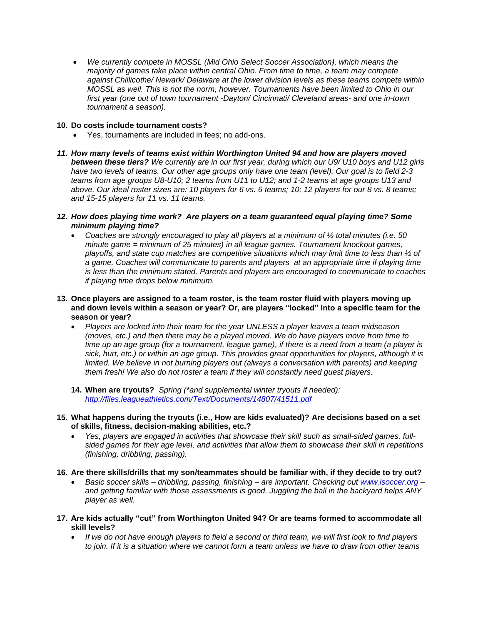*We currently compete in MOSSL (Mid Ohio Select Soccer Association), which means the majority of games take place within central Ohio. From time to time, a team may compete against Chillicothe/ Newark/ Delaware at the lower division levels as these teams compete within MOSSL as well. This is not the norm, however. Tournaments have been limited to Ohio in our first year (one out of town tournament -Dayton/ Cincinnati/ Cleveland areas- and one in-town tournament a season).* 

## **10. Do costs include tournament costs?**

- Yes, tournaments are included in fees; no add-ons.
- *11. How many levels of teams exist within Worthington United 94 and how are players moved between these tiers? We currently are in our first year, during which our U9/ U10 boys and U12 girls have two levels of teams. Our other age groups only have one team (level). Our goal is to field 2-3 teams from age groups U8-U10; 2 teams from U11 to U12; and 1-2 teams at age groups U13 and above. Our ideal roster sizes are: 10 players for 6 vs. 6 teams; 10; 12 players for our 8 vs. 8 teams; and 15-15 players for 11 vs. 11 teams.*
- *12. How does playing time work? Are players on a team guaranteed equal playing time? Some minimum playing time?*
	- *Coaches are strongly encouraged to play all players at a minimum of ½ total minutes (i.e. 50 minute game = minimum of 25 minutes) in all league games. Tournament knockout games, playoffs, and state cup matches are competitive situations which may limit time to less than ½ of a game. Coaches will communicate to parents and players at an appropriate time if playing time is less than the minimum stated. Parents and players are encouraged to communicate to coaches if playing time drops below minimum.*
- **13. Once players are assigned to a team roster, is the team roster fluid with players moving up and down levels within a season or year? Or, are players "locked" into a specific team for the season or year?**
	- *Players are locked into their team for the year UNLESS a player leaves a team midseason (moves, etc.) and then there may be a played moved. We do have players move from time to time up an age group (for a tournament, league game), if there is a need from a team (a player is sick, hurt, etc.) or within an age group. This provides great opportunities for players, although it is limited. We believe in not burning players out (always a conversation with parents) and keeping them fresh! We also do not roster a team if they will constantly need guest players.*
	- **14. When are tryouts?** *Spring (\*and supplemental winter tryouts if needed): <http://files.leagueathletics.com/Text/Documents/14807/41511.pdf>*
- **15. What happens during the tryouts (i.e., How are kids evaluated)? Are decisions based on a set of skills, fitness, decision-making abilities, etc.?**
	- *Yes, players are engaged in activities that showcase their skill such as small-sided games, fullsided games for their age level, and activities that allow them to showcase their skill in repetitions (finishing, dribbling, passing).*
- **16. Are there skills/drills that my son/teammates should be familiar with, if they decide to try out?**
	- *Basic soccer skills – dribbling, passing, finishing – are important. Checking out www.isoccer.org – and getting familiar with those assessments is good. Juggling the ball in the backyard helps ANY player as well.*
- **17. Are kids actually "cut" from Worthington United 94? Or are teams formed to accommodate all skill levels?**
	- *If we do not have enough players to field a second or third team, we will first look to find players to join. If it is a situation where we cannot form a team unless we have to draw from other teams*